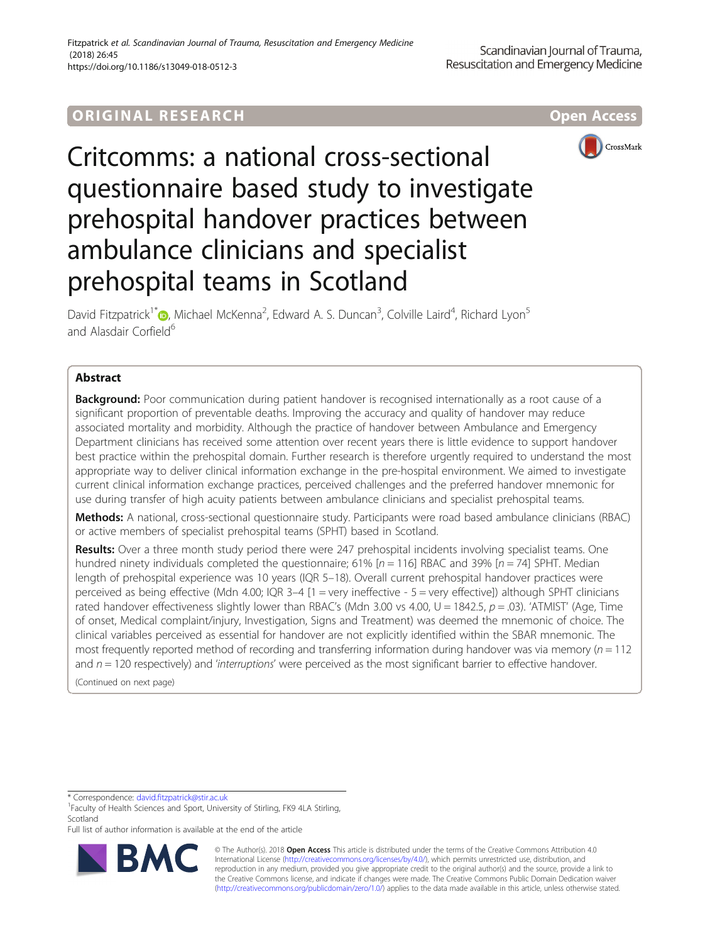# **ORIGINAL RESEARCH AND LOCAL CONTROL** CONTROL CONTROL CONTROL CONTROL CONTROL CONTROL CONTROL CONTROL CONTROL CON



Critcomms: a national cross-sectional questionnaire based study to investigate prehospital handover practices between ambulance clinicians and specialist prehospital teams in Scotland

David Fitzpatrick<sup>1[\\*](http://orcid.org/0000-0003-0653-8445)</sup> (**D**, Michael McKenna<sup>2</sup>, Edward A. S. Duncan<sup>3</sup>, Colville Laird<sup>4</sup>, Richard Lyon<sup>5</sup> and Alasdair Corfield<sup>6</sup>

# Abstract

**Background:** Poor communication during patient handover is recognised internationally as a root cause of a significant proportion of preventable deaths. Improving the accuracy and quality of handover may reduce associated mortality and morbidity. Although the practice of handover between Ambulance and Emergency Department clinicians has received some attention over recent years there is little evidence to support handover best practice within the prehospital domain. Further research is therefore urgently required to understand the most appropriate way to deliver clinical information exchange in the pre-hospital environment. We aimed to investigate current clinical information exchange practices, perceived challenges and the preferred handover mnemonic for use during transfer of high acuity patients between ambulance clinicians and specialist prehospital teams.

Methods: A national, cross-sectional questionnaire study. Participants were road based ambulance clinicians (RBAC) or active members of specialist prehospital teams (SPHT) based in Scotland.

Results: Over a three month study period there were 247 prehospital incidents involving specialist teams. One hundred ninety individuals completed the questionnaire; 61%  $[n = 116]$  RBAC and 39%  $[n = 74]$  SPHT. Median length of prehospital experience was 10 years (IQR 5–18). Overall current prehospital handover practices were perceived as being effective (Mdn 4.00; IQR 3–4 [1 = very ineffective - 5 = very effective]) although SPHT clinicians rated handover effectiveness slightly lower than RBAC's (Mdn 3.00 vs 4.00,  $U = 1842.5$ ,  $p = .03$ ). 'ATMIST' (Age, Time of onset, Medical complaint/injury, Investigation, Signs and Treatment) was deemed the mnemonic of choice. The clinical variables perceived as essential for handover are not explicitly identified within the SBAR mnemonic. The most frequently reported method of recording and transferring information during handover was via memory ( $n = 112$ ) and  $n = 120$  respectively) and 'interruptions' were perceived as the most significant barrier to effective handover.

(Continued on next page)

\* Correspondence: [david.fitzpatrick@stir.ac.uk](mailto:david.fitzpatrick@stir.ac.uk) <sup>1</sup>

<sup>1</sup>Faculty of Health Sciences and Sport, University of Stirling, FK9 4LA Stirling, Scotland

Full list of author information is available at the end of the article



© The Author(s). 2018 Open Access This article is distributed under the terms of the Creative Commons Attribution 4.0 International License [\(http://creativecommons.org/licenses/by/4.0/](http://creativecommons.org/licenses/by/4.0/)), which permits unrestricted use, distribution, and reproduction in any medium, provided you give appropriate credit to the original author(s) and the source, provide a link to the Creative Commons license, and indicate if changes were made. The Creative Commons Public Domain Dedication waiver [\(http://creativecommons.org/publicdomain/zero/1.0/](http://creativecommons.org/publicdomain/zero/1.0/)) applies to the data made available in this article, unless otherwise stated.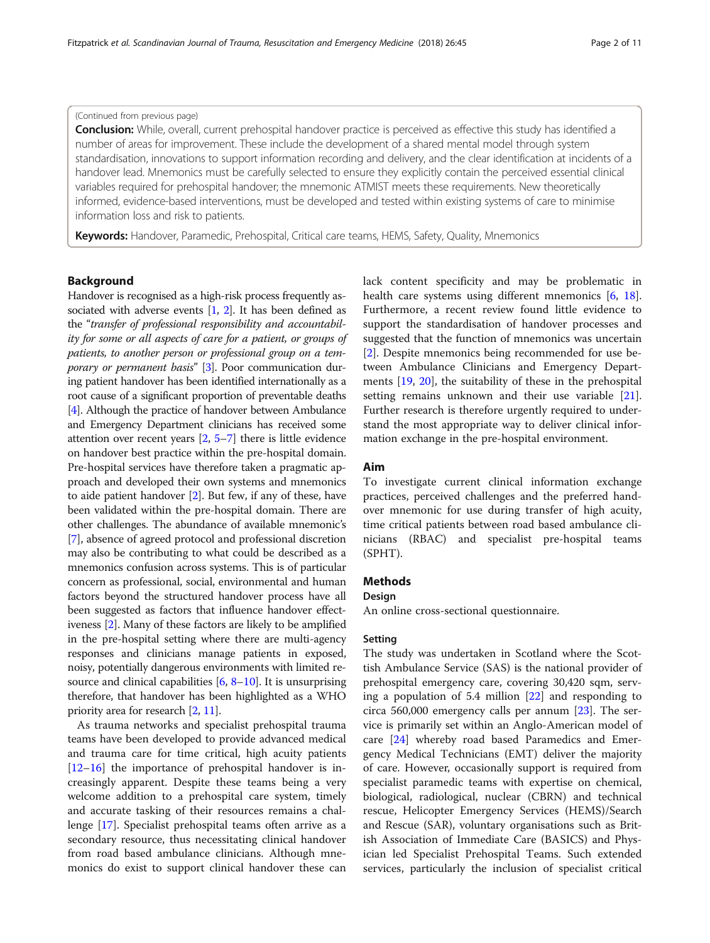#### (Continued from previous page)

Conclusion: While, overall, current prehospital handover practice is perceived as effective this study has identified a number of areas for improvement. These include the development of a shared mental model through system standardisation, innovations to support information recording and delivery, and the clear identification at incidents of a handover lead. Mnemonics must be carefully selected to ensure they explicitly contain the perceived essential clinical variables required for prehospital handover; the mnemonic ATMIST meets these requirements. New theoretically informed, evidence-based interventions, must be developed and tested within existing systems of care to minimise information loss and risk to patients.

Keywords: Handover, Paramedic, Prehospital, Critical care teams, HEMS, Safety, Quality, Mnemonics

# Background

Handover is recognised as a high-risk process frequently associated with adverse events  $[1, 2]$  $[1, 2]$  $[1, 2]$  $[1, 2]$ . It has been defined as the "transfer of professional responsibility and accountability for some or all aspects of care for a patient, or groups of patients, to another person or professional group on a tem-porary or permanent basis" [\[3](#page-9-0)]. Poor communication during patient handover has been identified internationally as a root cause of a significant proportion of preventable deaths [[4](#page-9-0)]. Although the practice of handover between Ambulance and Emergency Department clinicians has received some attention over recent years [[2,](#page-9-0) [5](#page-9-0)–[7](#page-9-0)] there is little evidence on handover best practice within the pre-hospital domain. Pre-hospital services have therefore taken a pragmatic approach and developed their own systems and mnemonics to aide patient handover [\[2](#page-9-0)]. But few, if any of these, have been validated within the pre-hospital domain. There are other challenges. The abundance of available mnemonic's [[7\]](#page-9-0), absence of agreed protocol and professional discretion may also be contributing to what could be described as a mnemonics confusion across systems. This is of particular concern as professional, social, environmental and human factors beyond the structured handover process have all been suggested as factors that influence handover effectiveness [[2](#page-9-0)]. Many of these factors are likely to be amplified in the pre-hospital setting where there are multi-agency responses and clinicians manage patients in exposed, noisy, potentially dangerous environments with limited resource and clinical capabilities  $[6, 8-10]$  $[6, 8-10]$  $[6, 8-10]$  $[6, 8-10]$  $[6, 8-10]$  $[6, 8-10]$ . It is unsurprising therefore, that handover has been highlighted as a WHO priority area for research [\[2](#page-9-0), [11](#page-9-0)].

As trauma networks and specialist prehospital trauma teams have been developed to provide advanced medical and trauma care for time critical, high acuity patients [[12](#page-9-0)–[16](#page-10-0)] the importance of prehospital handover is increasingly apparent. Despite these teams being a very welcome addition to a prehospital care system, timely and accurate tasking of their resources remains a challenge [\[17\]](#page-10-0). Specialist prehospital teams often arrive as a secondary resource, thus necessitating clinical handover from road based ambulance clinicians. Although mnemonics do exist to support clinical handover these can

lack content specificity and may be problematic in health care systems using different mnemonics [[6,](#page-9-0) [18](#page-10-0)]. Furthermore, a recent review found little evidence to support the standardisation of handover processes and suggested that the function of mnemonics was uncertain [[2\]](#page-9-0). Despite mnemonics being recommended for use between Ambulance Clinicians and Emergency Departments [\[19](#page-10-0), [20\]](#page-10-0), the suitability of these in the prehospital setting remains unknown and their use variable [\[21](#page-10-0)]. Further research is therefore urgently required to understand the most appropriate way to deliver clinical information exchange in the pre-hospital environment.

# Aim

To investigate current clinical information exchange practices, perceived challenges and the preferred handover mnemonic for use during transfer of high acuity, time critical patients between road based ambulance clinicians (RBAC) and specialist pre-hospital teams (SPHT).

# Methods

### Design

An online cross-sectional questionnaire.

# Setting

The study was undertaken in Scotland where the Scottish Ambulance Service (SAS) is the national provider of prehospital emergency care, covering 30,420 sqm, serving a population of 5.4 million [[22\]](#page-10-0) and responding to circa 560,000 emergency calls per annum [[23\]](#page-10-0). The service is primarily set within an Anglo-American model of care [\[24](#page-10-0)] whereby road based Paramedics and Emergency Medical Technicians (EMT) deliver the majority of care. However, occasionally support is required from specialist paramedic teams with expertise on chemical, biological, radiological, nuclear (CBRN) and technical rescue, Helicopter Emergency Services (HEMS)/Search and Rescue (SAR), voluntary organisations such as British Association of Immediate Care (BASICS) and Physician led Specialist Prehospital Teams. Such extended services, particularly the inclusion of specialist critical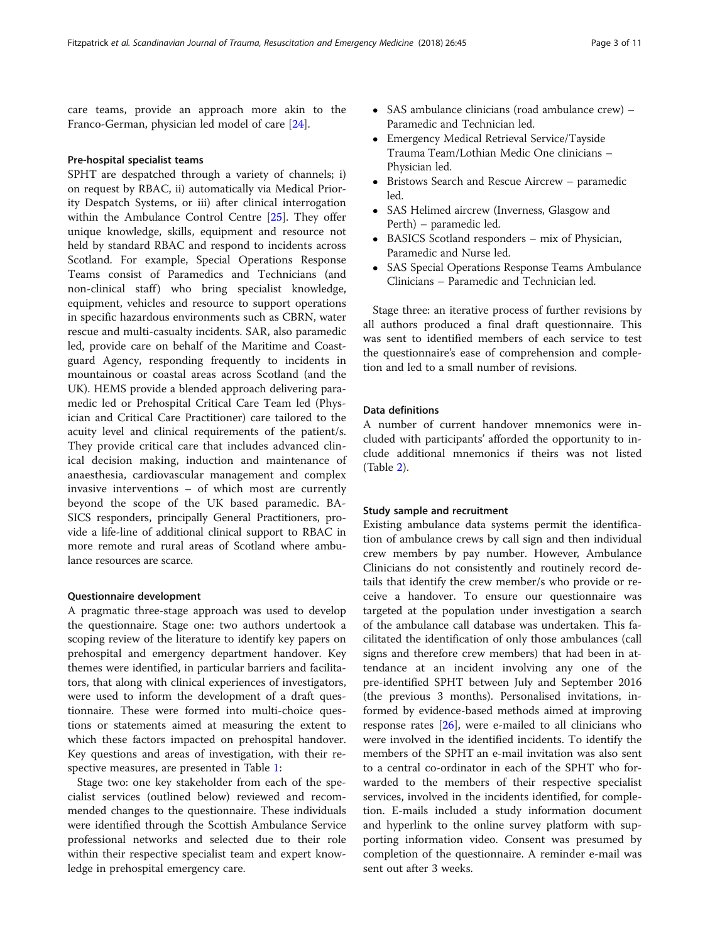care teams, provide an approach more akin to the Franco-German, physician led model of care [\[24](#page-10-0)].

# Pre-hospital specialist teams

SPHT are despatched through a variety of channels; i) on request by RBAC, ii) automatically via Medical Priority Despatch Systems, or iii) after clinical interrogation within the Ambulance Control Centre [\[25\]](#page-10-0). They offer unique knowledge, skills, equipment and resource not held by standard RBAC and respond to incidents across Scotland. For example, Special Operations Response Teams consist of Paramedics and Technicians (and non-clinical staff) who bring specialist knowledge, equipment, vehicles and resource to support operations in specific hazardous environments such as CBRN, water rescue and multi-casualty incidents. SAR, also paramedic led, provide care on behalf of the Maritime and Coastguard Agency, responding frequently to incidents in mountainous or coastal areas across Scotland (and the UK). HEMS provide a blended approach delivering paramedic led or Prehospital Critical Care Team led (Physician and Critical Care Practitioner) care tailored to the acuity level and clinical requirements of the patient/s. They provide critical care that includes advanced clinical decision making, induction and maintenance of anaesthesia, cardiovascular management and complex invasive interventions – of which most are currently beyond the scope of the UK based paramedic. BA-SICS responders, principally General Practitioners, provide a life-line of additional clinical support to RBAC in more remote and rural areas of Scotland where ambulance resources are scarce.

# Questionnaire development

A pragmatic three-stage approach was used to develop the questionnaire. Stage one: two authors undertook a scoping review of the literature to identify key papers on prehospital and emergency department handover. Key themes were identified, in particular barriers and facilitators, that along with clinical experiences of investigators, were used to inform the development of a draft questionnaire. These were formed into multi-choice questions or statements aimed at measuring the extent to which these factors impacted on prehospital handover. Key questions and areas of investigation, with their respective measures, are presented in Table [1](#page-3-0):

Stage two: one key stakeholder from each of the specialist services (outlined below) reviewed and recommended changes to the questionnaire. These individuals were identified through the Scottish Ambulance Service professional networks and selected due to their role within their respective specialist team and expert knowledge in prehospital emergency care.

- SAS ambulance clinicians (road ambulance crew) Paramedic and Technician led.
- Emergency Medical Retrieval Service/Tayside Trauma Team/Lothian Medic One clinicians – Physician led.
- Bristows Search and Rescue Aircrew paramedic led.
- SAS Helimed aircrew (Inverness, Glasgow and Perth) – paramedic led.
- BASICS Scotland responders mix of Physician, Paramedic and Nurse led.
- SAS Special Operations Response Teams Ambulance Clinicians – Paramedic and Technician led.

Stage three: an iterative process of further revisions by all authors produced a final draft questionnaire. This was sent to identified members of each service to test the questionnaire's ease of comprehension and completion and led to a small number of revisions.

# Data definitions

A number of current handover mnemonics were included with participants' afforded the opportunity to include additional mnemonics if theirs was not listed (Table [2\)](#page-3-0).

### Study sample and recruitment

Existing ambulance data systems permit the identification of ambulance crews by call sign and then individual crew members by pay number. However, Ambulance Clinicians do not consistently and routinely record details that identify the crew member/s who provide or receive a handover. To ensure our questionnaire was targeted at the population under investigation a search of the ambulance call database was undertaken. This facilitated the identification of only those ambulances (call signs and therefore crew members) that had been in attendance at an incident involving any one of the pre-identified SPHT between July and September 2016 (the previous 3 months). Personalised invitations, informed by evidence-based methods aimed at improving response rates  $[26]$  $[26]$ , were e-mailed to all clinicians who were involved in the identified incidents. To identify the members of the SPHT an e-mail invitation was also sent to a central co-ordinator in each of the SPHT who forwarded to the members of their respective specialist services, involved in the incidents identified, for completion. E-mails included a study information document and hyperlink to the online survey platform with supporting information video. Consent was presumed by completion of the questionnaire. A reminder e-mail was sent out after 3 weeks.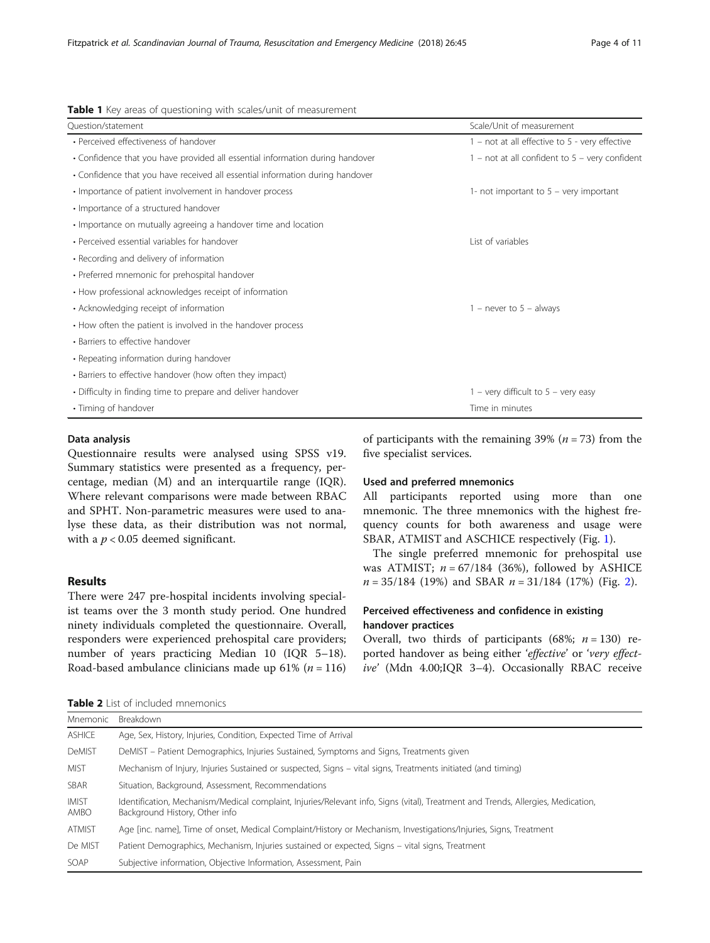| <b>TWATE :</b> They areas or spacethorming this received, anno or integrated the |                                                    |
|----------------------------------------------------------------------------------|----------------------------------------------------|
| Ouestion/statement                                                               | Scale/Unit of measurement                          |
| • Perceived effectiveness of handover                                            | $1$ – not at all effective to 5 - very effective   |
| • Confidence that you have provided all essential information during handover    | $1$ – not at all confident to $5$ – very confident |
| • Confidence that you have received all essential information during handover    |                                                    |
| • Importance of patient involvement in handover process                          | 1- not important to $5$ – very important           |
| • Importance of a structured handover                                            |                                                    |
| • Importance on mutually agreeing a handover time and location                   |                                                    |
| • Perceived essential variables for handover                                     | List of variables                                  |
| • Recording and delivery of information                                          |                                                    |
| • Preferred mnemonic for prehospital handover                                    |                                                    |
| • How professional acknowledges receipt of information                           |                                                    |
| • Acknowledging receipt of information                                           | $1$ – never to $5$ – always                        |
| • How often the patient is involved in the handover process                      |                                                    |
| • Barriers to effective handover                                                 |                                                    |
| • Repeating information during handover                                          |                                                    |
| • Barriers to effective handover (how often they impact)                         |                                                    |
| • Difficulty in finding time to prepare and deliver handover                     | $1 -$ very difficult to $5 -$ very easy            |
| • Timing of handover                                                             | Time in minutes                                    |
|                                                                                  |                                                    |

### <span id="page-3-0"></span>Table 1 Key areas of questioning with scales/unit of measurement

# Data analysis

Questionnaire results were analysed using SPSS v19. Summary statistics were presented as a frequency, percentage, median (M) and an interquartile range (IQR). Where relevant comparisons were made between RBAC and SPHT. Non-parametric measures were used to analyse these data, as their distribution was not normal, with a  $p < 0.05$  deemed significant.

# Results

There were 247 pre-hospital incidents involving specialist teams over the 3 month study period. One hundred ninety individuals completed the questionnaire. Overall, responders were experienced prehospital care providers; number of years practicing Median 10 (IQR 5–18). Road-based ambulance clinicians made up 61% ( $n = 116$ )

Table 2 List of included mnemonics

of participants with the remaining 39% ( $n = 73$ ) from the five specialist services.

# Used and preferred mnemonics

All participants reported using more than one mnemonic. The three mnemonics with the highest frequency counts for both awareness and usage were SBAR, ATMIST and ASCHICE respectively (Fig. [1](#page-4-0)).

The single preferred mnemonic for prehospital use was ATMIST;  $n = 67/184$  (36%), followed by ASHICE  $n = 35/184$  (19%) and SBAR  $n = 31/184$  (17%) (Fig. [2](#page-4-0)).

# Perceived effectiveness and confidence in existing handover practices

Overall, two thirds of participants (68%;  $n = 130$ ) reported handover as being either 'effective' or 'very effective' (Mdn 4.00;IQR 3–4). Occasionally RBAC receive

| Mnemonic             | Breakdown                                                                                                                                                          |
|----------------------|--------------------------------------------------------------------------------------------------------------------------------------------------------------------|
| <b>ASHICE</b>        | Age, Sex, History, Injuries, Condition, Expected Time of Arrival                                                                                                   |
| <b>DeMIST</b>        | DeMIST - Patient Demographics, Injuries Sustained, Symptoms and Signs, Treatments given                                                                            |
| <b>MIST</b>          | Mechanism of Injury, Injuries Sustained or suspected, Signs – vital signs, Treatments initiated (and timing)                                                       |
| SBAR                 | Situation, Background, Assessment, Recommendations                                                                                                                 |
| <b>IMIST</b><br>AMBO | Identification, Mechanism/Medical complaint, Injuries/Relevant info, Signs (vital), Treatment and Trends, Allergies, Medication,<br>Background History, Other info |
| <b>ATMIST</b>        | Age [inc. name], Time of onset, Medical Complaint/History or Mechanism, Investigations/Injuries, Signs, Treatment                                                  |
| De MIST              | Patient Demographics, Mechanism, Injuries sustained or expected, Signs – vital signs, Treatment                                                                    |
| SOAP                 | Subjective information, Objective Information, Assessment, Pain                                                                                                    |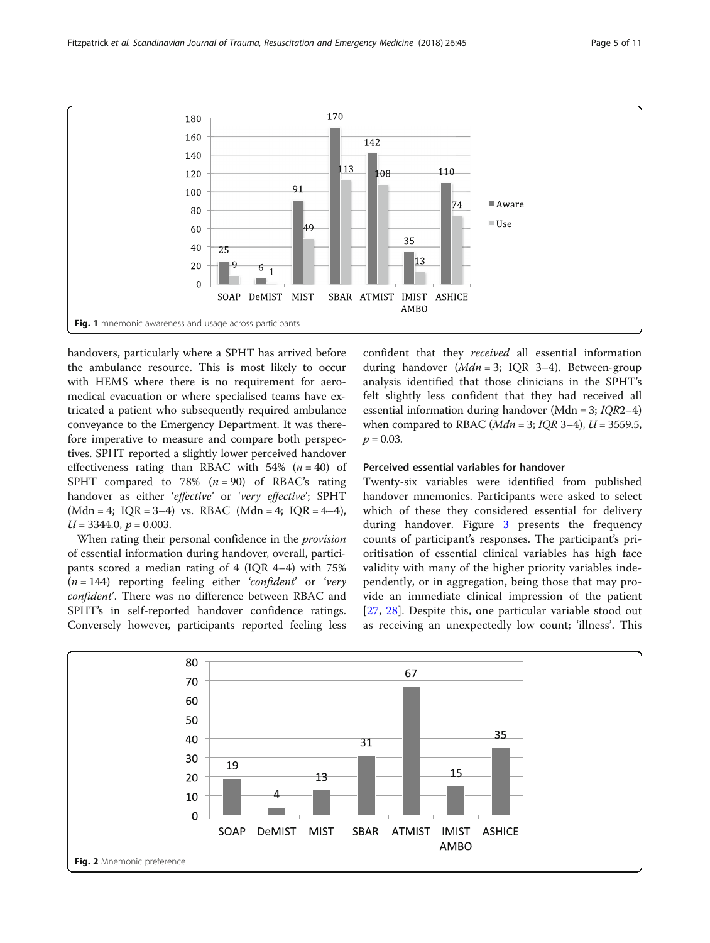<span id="page-4-0"></span>

handovers, particularly where a SPHT has arrived before the ambulance resource. This is most likely to occur with HEMS where there is no requirement for aeromedical evacuation or where specialised teams have extricated a patient who subsequently required ambulance conveyance to the Emergency Department. It was therefore imperative to measure and compare both perspectives. SPHT reported a slightly lower perceived handover effectiveness rating than RBAC with 54%  $(n = 40)$  of SPHT compared to 78%  $(n = 90)$  of RBAC's rating handover as either 'effective' or 'very effective'; SPHT  $(Mdn = 4; IQR = 3-4)$  vs. RBAC  $(Mdn = 4; IQR = 4-4)$ ,  $U = 3344.0, p = 0.003.$ 

When rating their personal confidence in the provision of essential information during handover, overall, participants scored a median rating of 4 (IQR 4–4) with 75%  $(n = 144)$  reporting feeling either 'confident' or 'very confident'. There was no difference between RBAC and SPHT's in self-reported handover confidence ratings. Conversely however, participants reported feeling less confident that they received all essential information during handover  $(Mdn = 3; IOR 3-4)$ . Between-group analysis identified that those clinicians in the SPHT's felt slightly less confident that they had received all essential information during handover (Mdn = 3; IQR2–4) when compared to RBAC ( $Mdn = 3$ ;  $IOR 3-4$ ),  $U = 3559.5$ ,  $p = 0.03$ .

# Perceived essential variables for handover

Twenty-six variables were identified from published handover mnemonics. Participants were asked to select which of these they considered essential for delivery during handover. Figure [3](#page-5-0) presents the frequency counts of participant's responses. The participant's prioritisation of essential clinical variables has high face validity with many of the higher priority variables independently, or in aggregation, being those that may provide an immediate clinical impression of the patient [[27](#page-10-0), [28\]](#page-10-0). Despite this, one particular variable stood out as receiving an unexpectedly low count; 'illness'. This

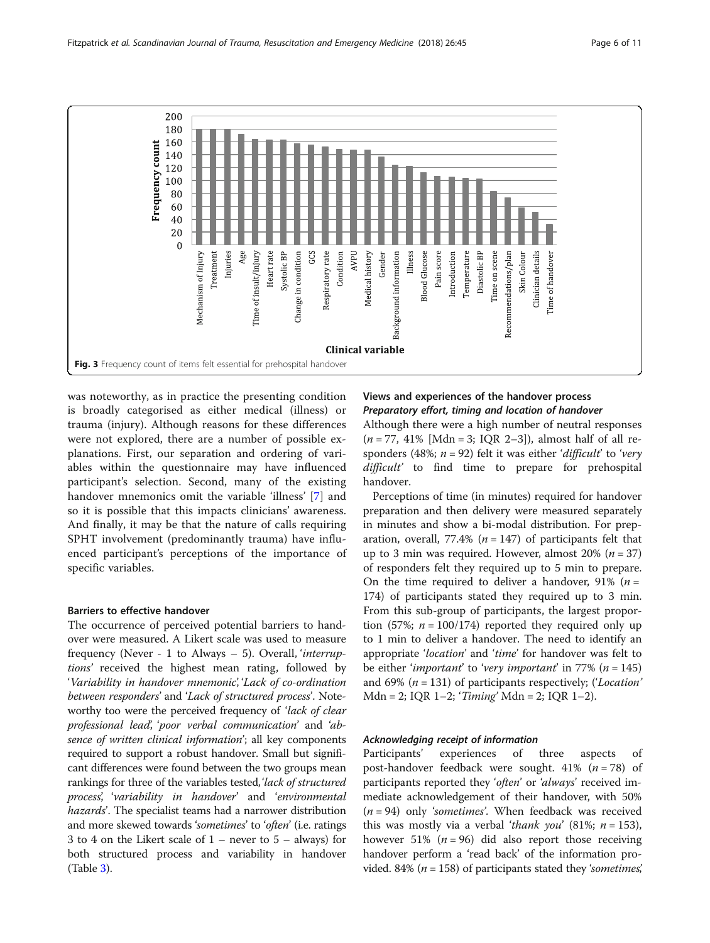<span id="page-5-0"></span>

was noteworthy, as in practice the presenting condition is broadly categorised as either medical (illness) or trauma (injury). Although reasons for these differences were not explored, there are a number of possible explanations. First, our separation and ordering of variables within the questionnaire may have influenced participant's selection. Second, many of the existing handover mnemonics omit the variable 'illness' [\[7](#page-9-0)] and so it is possible that this impacts clinicians' awareness. And finally, it may be that the nature of calls requiring SPHT involvement (predominantly trauma) have influenced participant's perceptions of the importance of specific variables.

# Barriers to effective handover

The occurrence of perceived potential barriers to handover were measured. A Likert scale was used to measure frequency (Never - 1 to Always – 5). Overall, 'interruptions' received the highest mean rating, followed by 'Variability in handover mnemonic', 'Lack of co-ordination between responders' and 'Lack of structured process'. Noteworthy too were the perceived frequency of 'lack of clear professional lead', 'poor verbal communication' and 'absence of written clinical information'; all key components required to support a robust handover. Small but significant differences were found between the two groups mean rankings for three of the variables tested, *lack of structured* process', 'variability in handover' and 'environmental hazards'. The specialist teams had a narrower distribution and more skewed towards 'sometimes' to 'often' (i.e. ratings 3 to 4 on the Likert scale of 1 – never to 5 – always) for both structured process and variability in handover (Table [3\)](#page-6-0).

# Views and experiences of the handover process Preparatory effort, timing and location of handover

Although there were a high number of neutral responses  $(n = 77, 41\%$  [Mdn = 3; IQR 2-3]), almost half of all responders (48%;  $n = 92$ ) felt it was either 'difficult' to 'very difficult' to find time to prepare for prehospital handover.

Perceptions of time (in minutes) required for handover preparation and then delivery were measured separately in minutes and show a bi-modal distribution. For preparation, overall, 77.4% ( $n = 147$ ) of participants felt that up to 3 min was required. However, almost  $20\%$  (*n* = 37) of responders felt they required up to 5 min to prepare. On the time required to deliver a handover, 91% ( $n =$ 174) of participants stated they required up to 3 min. From this sub-group of participants, the largest proportion (57%;  $n = 100/174$ ) reported they required only up to 1 min to deliver a handover. The need to identify an appropriate 'location' and 'time' for handover was felt to be either '*important'* to 'very *important'* in 77% ( $n = 145$ ) and 69% ( $n = 131$ ) of participants respectively; ('Location'  $Mdn = 2$ ; IQR 1-2; 'Timing' Mdn = 2; IQR 1-2).

# Acknowledging receipt of information

Participants' experiences of three aspects of post-handover feedback were sought.  $41\%$  ( $n = 78$ ) of participants reported they 'often' or 'always' received immediate acknowledgement of their handover, with 50%  $(n = 94)$  only 'sometimes'. When feedback was received this was mostly via a verbal *'thank you'* (81%;  $n = 153$ ), however 51% ( $n = 96$ ) did also report those receiving handover perform a 'read back' of the information provided. 84% ( $n = 158$ ) of participants stated they 'sometimes',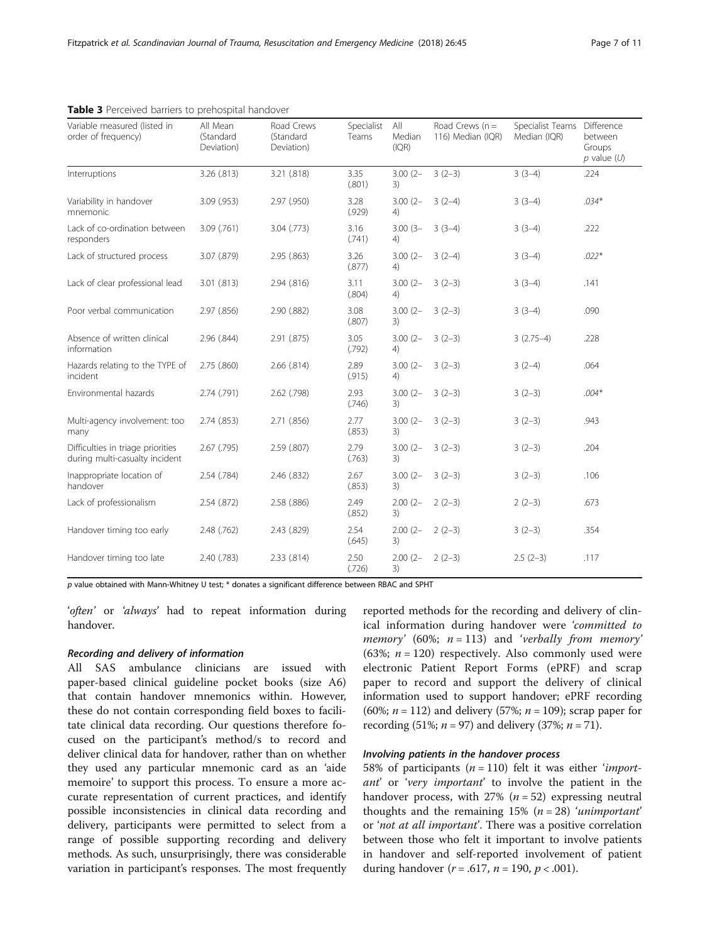| Page 7 of 11 |  |  |
|--------------|--|--|
|              |  |  |

| Variable measured (listed in<br>order of frequency)                 | All Mean<br>(Standard<br>Deviation) | Road Crews<br>(Standard<br>Deviation) | Specialist<br>Teams | All<br>Median<br>(IQR) | Road Crews $(n =$<br>116) Median (IQR) | Specialist Teams<br>Median (IQR) | Difference<br>between<br>Groups<br>$p$ value $(U)$ |
|---------------------------------------------------------------------|-------------------------------------|---------------------------------------|---------------------|------------------------|----------------------------------------|----------------------------------|----------------------------------------------------|
| Interruptions                                                       | 3.26 (.813)                         | 3.21 (.818)                           | 3.35<br>(.801)      | $3.00(2 -$<br>3)       | $3(2-3)$                               | $3(3-4)$                         | .224                                               |
| Variability in handover<br>mnemonic                                 | 3.09 (.953)                         | 2.97 (.950)                           | 3.28<br>(.929)      | $3.00(2 -$<br>4)       | $3(2-4)$                               | $3(3-4)$                         | $.034*$                                            |
| Lack of co-ordination between<br>responders                         | 3.09 (.761)                         | 3.04 (.773)                           | 3.16<br>(.741)      | $3.00(3 -$<br>4)       | $3(3-4)$                               | $3(3-4)$                         | .222                                               |
| Lack of structured process                                          | 3.07 (.879)                         | 2.95(.863)                            | 3.26<br>(.877)      | $3.00(2 -$<br>4)       | $3(2-4)$                               | $3(3-4)$                         | $.022*$                                            |
| Lack of clear professional lead                                     | 3.01 (.813)                         | 2.94 (.816)                           | 3.11<br>(.804)      | $3.00(2 -$<br>4)       | $3(2-3)$                               | $3(3-4)$                         | .141                                               |
| Poor verbal communication                                           | 2.97 (.856)                         | 2.90 (.882)                           | 3.08<br>(.807)      | $3.00(2 -$<br>3)       | $3(2-3)$                               | $3(3-4)$                         | .090                                               |
| Absence of written clinical<br>information                          | 2.96 (.844)                         | 2.91 (.875)                           | 3.05<br>(.792)      | $3.00(2 -$<br>4)       | $3(2-3)$                               | $3(2.75-4)$                      | .228                                               |
| Hazards relating to the TYPE of<br>incident                         | 2.75(.860)                          | 2.66(.814)                            | 2.89<br>(.915)      | $3.00(2 -$<br>4)       | $3(2-3)$                               | $3(2-4)$                         | .064                                               |
| Environmental hazards                                               | 2.74 (.791)                         | 2.62 (.798)                           | 2.93<br>(.746)      | $3.00(2 -$<br>3)       | $3(2-3)$                               | $3(2-3)$                         | $.004*$                                            |
| Multi-agency involvement: too<br>many                               | 2.74 (.853)                         | 2.71(.856)                            | 2.77<br>(.853)      | $3.00(2 -$<br>3)       | $3(2-3)$                               | $3(2-3)$                         | .943                                               |
| Difficulties in triage priorities<br>during multi-casualty incident | 2.67 (.795)                         | 2.59 (.807)                           | 2.79<br>(.763)      | $3.00(2 -$<br>3)       | $3(2-3)$                               | $3(2-3)$                         | .204                                               |
| Inappropriate location of<br>handover                               | 2.54 (.784)                         | 2.46 (.832)                           | 2.67<br>(.853)      | $3.00(2 -$<br>3)       | $3(2-3)$                               | $3(2-3)$                         | .106                                               |
| Lack of professionalism                                             | 2.54(.872)                          | 2.58 (.886)                           | 2.49<br>(.852)      | $2.00(2 -$<br>3)       | $2(2-3)$                               | $2(2-3)$                         | .673                                               |
| Handover timing too early                                           | 2.48 (.762)                         | 2.43 (.829)                           | 2.54<br>(.645)      | $2.00(2 -$<br>3)       | $2(2-3)$                               | $3(2-3)$                         | .354                                               |
| Handover timing too late                                            | 2.40 (.783)                         | 2.33 (.814)                           | 2.50<br>(.726)      | $2.00(2 -$<br>3)       | $2(2-3)$                               | $2.5(2-3)$                       | .117                                               |

# <span id="page-6-0"></span>Table 3 Perceived barriers to prehospital handover

 $p$  value obtained with Mann-Whitney U test;  $*$  donates a significant difference between RBAC and SPHT

'often' or 'always' had to repeat information during handover.

### Recording and delivery of information

All SAS ambulance clinicians are issued with paper-based clinical guideline pocket books (size A6) that contain handover mnemonics within. However, these do not contain corresponding field boxes to facilitate clinical data recording. Our questions therefore focused on the participant's method/s to record and deliver clinical data for handover, rather than on whether they used any particular mnemonic card as an 'aide memoire' to support this process. To ensure a more accurate representation of current practices, and identify possible inconsistencies in clinical data recording and delivery, participants were permitted to select from a range of possible supporting recording and delivery methods. As such, unsurprisingly, there was considerable variation in participant's responses. The most frequently

reported methods for the recording and delivery of clinical information during handover were 'committed to memory' (60%;  $n = 113$ ) and 'verbally from memory' (63%;  $n = 120$ ) respectively. Also commonly used were electronic Patient Report Forms (ePRF) and scrap paper to record and support the delivery of clinical information used to support handover; ePRF recording (60%;  $n = 112$ ) and delivery (57%;  $n = 109$ ); scrap paper for recording (51%;  $n = 97$ ) and delivery (37%;  $n = 71$ ).

# Involving patients in the handover process

58% of participants ( $n = 110$ ) felt it was either *'import*ant' or 'very important' to involve the patient in the handover process, with  $27\%$  ( $n = 52$ ) expressing neutral thoughts and the remaining  $15\%$  ( $n = 28$ ) 'unimportant' or 'not at all important'. There was a positive correlation between those who felt it important to involve patients in handover and self-reported involvement of patient during handover ( $r = .617$ ,  $n = 190$ ,  $p < .001$ ).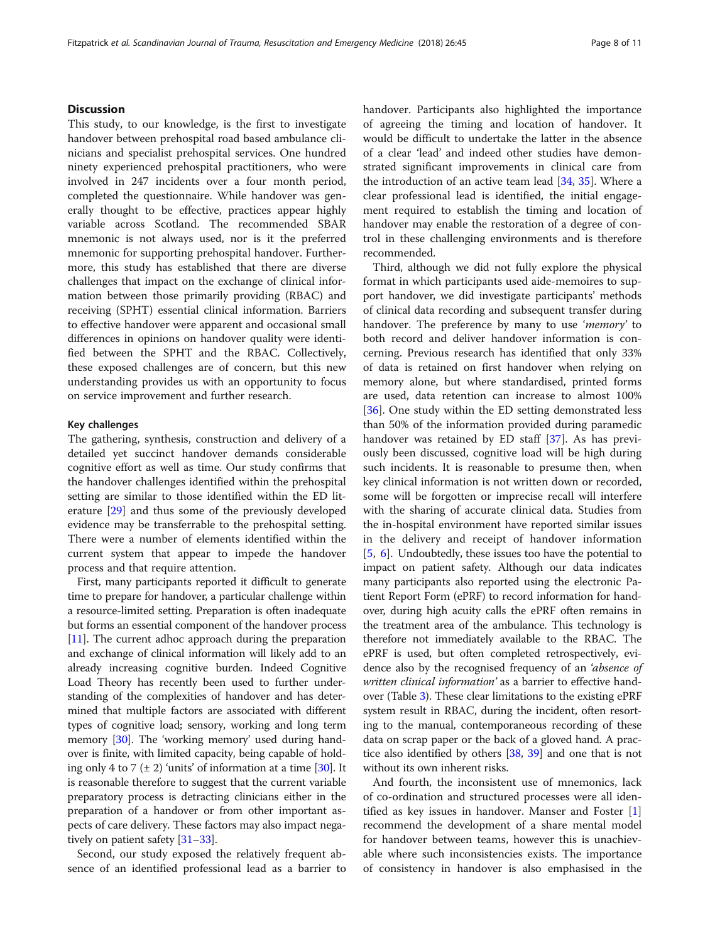# **Discussion**

This study, to our knowledge, is the first to investigate handover between prehospital road based ambulance clinicians and specialist prehospital services. One hundred ninety experienced prehospital practitioners, who were involved in 247 incidents over a four month period, completed the questionnaire. While handover was generally thought to be effective, practices appear highly variable across Scotland. The recommended SBAR mnemonic is not always used, nor is it the preferred mnemonic for supporting prehospital handover. Furthermore, this study has established that there are diverse challenges that impact on the exchange of clinical information between those primarily providing (RBAC) and receiving (SPHT) essential clinical information. Barriers to effective handover were apparent and occasional small differences in opinions on handover quality were identified between the SPHT and the RBAC. Collectively, these exposed challenges are of concern, but this new understanding provides us with an opportunity to focus on service improvement and further research.

# Key challenges

The gathering, synthesis, construction and delivery of a detailed yet succinct handover demands considerable cognitive effort as well as time. Our study confirms that the handover challenges identified within the prehospital setting are similar to those identified within the ED literature [[29\]](#page-10-0) and thus some of the previously developed evidence may be transferrable to the prehospital setting. There were a number of elements identified within the current system that appear to impede the handover process and that require attention.

First, many participants reported it difficult to generate time to prepare for handover, a particular challenge within a resource-limited setting. Preparation is often inadequate but forms an essential component of the handover process [[11](#page-9-0)]. The current adhoc approach during the preparation and exchange of clinical information will likely add to an already increasing cognitive burden. Indeed Cognitive Load Theory has recently been used to further understanding of the complexities of handover and has determined that multiple factors are associated with different types of cognitive load; sensory, working and long term memory [\[30\]](#page-10-0). The 'working memory' used during handover is finite, with limited capacity, being capable of holding only 4 to 7 ( $\pm$  2) 'units' of information at a time [[30](#page-10-0)]. It is reasonable therefore to suggest that the current variable preparatory process is detracting clinicians either in the preparation of a handover or from other important aspects of care delivery. These factors may also impact negatively on patient safety [\[31](#page-10-0)–[33](#page-10-0)].

Second, our study exposed the relatively frequent absence of an identified professional lead as a barrier to handover. Participants also highlighted the importance of agreeing the timing and location of handover. It would be difficult to undertake the latter in the absence of a clear 'lead' and indeed other studies have demonstrated significant improvements in clinical care from the introduction of an active team lead  $[34, 35]$  $[34, 35]$  $[34, 35]$  $[34, 35]$ . Where a clear professional lead is identified, the initial engagement required to establish the timing and location of handover may enable the restoration of a degree of control in these challenging environments and is therefore recommended.

Third, although we did not fully explore the physical format in which participants used aide-memoires to support handover, we did investigate participants' methods of clinical data recording and subsequent transfer during handover. The preference by many to use 'memory' to both record and deliver handover information is concerning. Previous research has identified that only 33% of data is retained on first handover when relying on memory alone, but where standardised, printed forms are used, data retention can increase to almost 100% [[36\]](#page-10-0). One study within the ED setting demonstrated less than 50% of the information provided during paramedic handover was retained by ED staff [\[37\]](#page-10-0). As has previously been discussed, cognitive load will be high during such incidents. It is reasonable to presume then, when key clinical information is not written down or recorded, some will be forgotten or imprecise recall will interfere with the sharing of accurate clinical data. Studies from the in-hospital environment have reported similar issues in the delivery and receipt of handover information [[5,](#page-9-0) [6](#page-9-0)]. Undoubtedly, these issues too have the potential to impact on patient safety. Although our data indicates many participants also reported using the electronic Patient Report Form (ePRF) to record information for handover, during high acuity calls the ePRF often remains in the treatment area of the ambulance. This technology is therefore not immediately available to the RBAC. The ePRF is used, but often completed retrospectively, evidence also by the recognised frequency of an 'absence of written clinical information' as a barrier to effective handover (Table [3](#page-6-0)). These clear limitations to the existing ePRF system result in RBAC, during the incident, often resorting to the manual, contemporaneous recording of these data on scrap paper or the back of a gloved hand. A practice also identified by others [\[38](#page-10-0), [39](#page-10-0)] and one that is not without its own inherent risks.

And fourth, the inconsistent use of mnemonics, lack of co-ordination and structured processes were all identified as key issues in handover. Manser and Foster [\[1](#page-9-0)] recommend the development of a share mental model for handover between teams, however this is unachievable where such inconsistencies exists. The importance of consistency in handover is also emphasised in the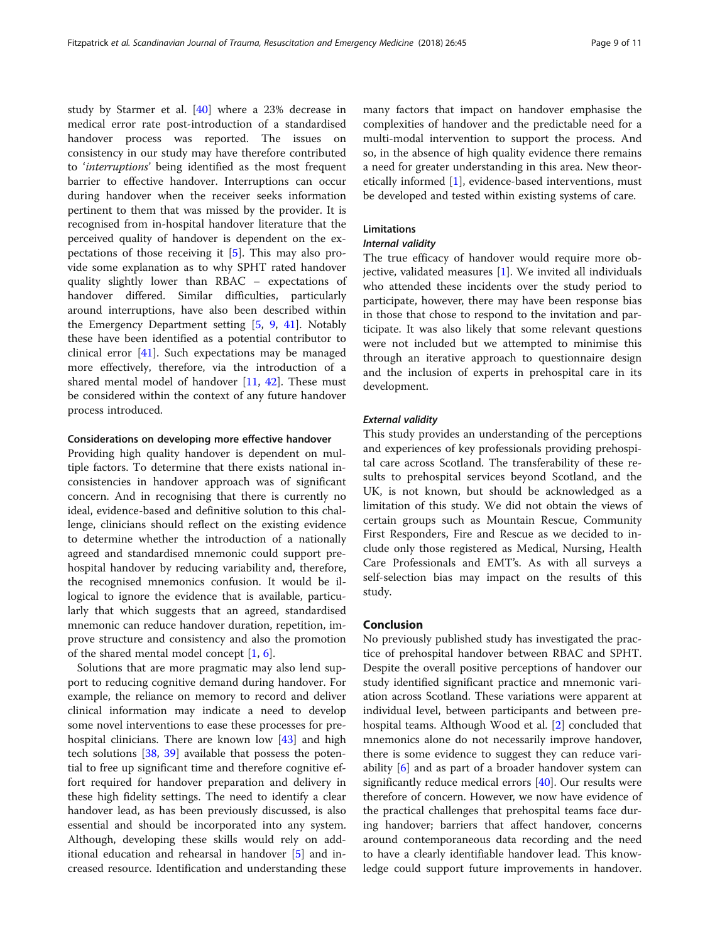study by Starmer et al. [[40\]](#page-10-0) where a 23% decrease in medical error rate post-introduction of a standardised handover process was reported. The issues on consistency in our study may have therefore contributed to 'interruptions' being identified as the most frequent barrier to effective handover. Interruptions can occur during handover when the receiver seeks information pertinent to them that was missed by the provider. It is recognised from in-hospital handover literature that the perceived quality of handover is dependent on the expectations of those receiving it [[5\]](#page-9-0). This may also provide some explanation as to why SPHT rated handover quality slightly lower than RBAC – expectations of handover differed. Similar difficulties, particularly around interruptions, have also been described within the Emergency Department setting [\[5](#page-9-0), [9](#page-9-0), [41](#page-10-0)]. Notably these have been identified as a potential contributor to clinical error [\[41](#page-10-0)]. Such expectations may be managed more effectively, therefore, via the introduction of a shared mental model of handover [[11](#page-9-0), [42](#page-10-0)]. These must be considered within the context of any future handover process introduced.

# Considerations on developing more effective handover

Providing high quality handover is dependent on multiple factors. To determine that there exists national inconsistencies in handover approach was of significant concern. And in recognising that there is currently no ideal, evidence-based and definitive solution to this challenge, clinicians should reflect on the existing evidence to determine whether the introduction of a nationally agreed and standardised mnemonic could support prehospital handover by reducing variability and, therefore, the recognised mnemonics confusion. It would be illogical to ignore the evidence that is available, particularly that which suggests that an agreed, standardised mnemonic can reduce handover duration, repetition, improve structure and consistency and also the promotion of the shared mental model concept [[1,](#page-9-0) [6\]](#page-9-0).

Solutions that are more pragmatic may also lend support to reducing cognitive demand during handover. For example, the reliance on memory to record and deliver clinical information may indicate a need to develop some novel interventions to ease these processes for prehospital clinicians. There are known low [\[43](#page-10-0)] and high tech solutions [[38,](#page-10-0) [39\]](#page-10-0) available that possess the potential to free up significant time and therefore cognitive effort required for handover preparation and delivery in these high fidelity settings. The need to identify a clear handover lead, as has been previously discussed, is also essential and should be incorporated into any system. Although, developing these skills would rely on additional education and rehearsal in handover [[5\]](#page-9-0) and increased resource. Identification and understanding these many factors that impact on handover emphasise the complexities of handover and the predictable need for a multi-modal intervention to support the process. And so, in the absence of high quality evidence there remains a need for greater understanding in this area. New theoretically informed [\[1](#page-9-0)], evidence-based interventions, must be developed and tested within existing systems of care.

# Limitations

# Internal validity

The true efficacy of handover would require more objective, validated measures [[1\]](#page-9-0). We invited all individuals who attended these incidents over the study period to participate, however, there may have been response bias in those that chose to respond to the invitation and participate. It was also likely that some relevant questions were not included but we attempted to minimise this through an iterative approach to questionnaire design and the inclusion of experts in prehospital care in its development.

### External validity

This study provides an understanding of the perceptions and experiences of key professionals providing prehospital care across Scotland. The transferability of these results to prehospital services beyond Scotland, and the UK, is not known, but should be acknowledged as a limitation of this study. We did not obtain the views of certain groups such as Mountain Rescue, Community First Responders, Fire and Rescue as we decided to include only those registered as Medical, Nursing, Health Care Professionals and EMT's. As with all surveys a self-selection bias may impact on the results of this study.

# Conclusion

No previously published study has investigated the practice of prehospital handover between RBAC and SPHT. Despite the overall positive perceptions of handover our study identified significant practice and mnemonic variation across Scotland. These variations were apparent at individual level, between participants and between prehospital teams. Although Wood et al. [[2\]](#page-9-0) concluded that mnemonics alone do not necessarily improve handover, there is some evidence to suggest they can reduce variability [\[6\]](#page-9-0) and as part of a broader handover system can significantly reduce medical errors  $[40]$  $[40]$ . Our results were therefore of concern. However, we now have evidence of the practical challenges that prehospital teams face during handover; barriers that affect handover, concerns around contemporaneous data recording and the need to have a clearly identifiable handover lead. This knowledge could support future improvements in handover.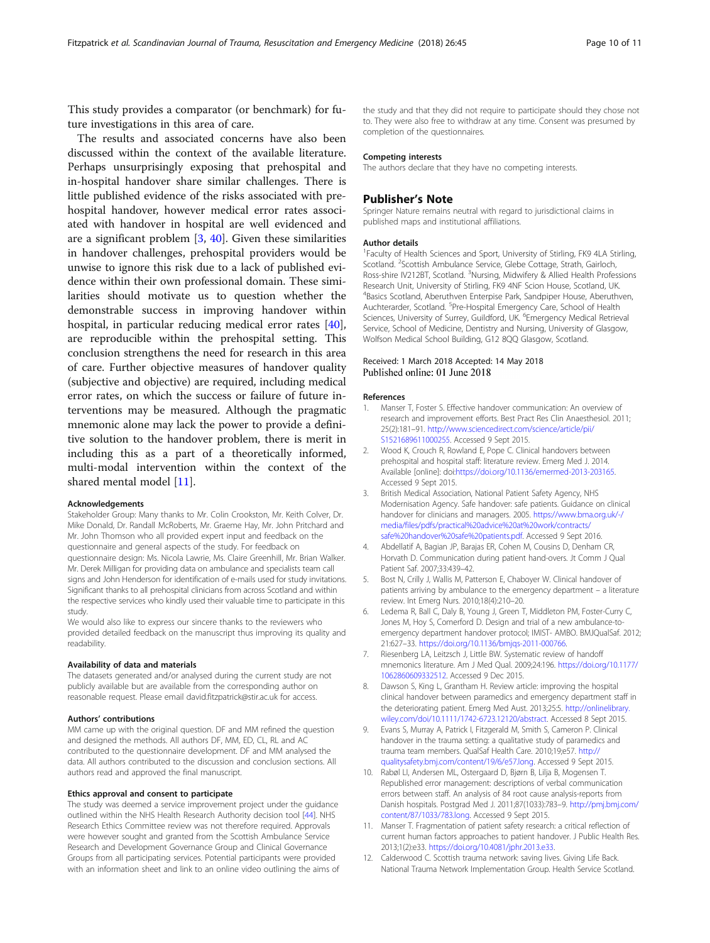<span id="page-9-0"></span>This study provides a comparator (or benchmark) for future investigations in this area of care.

The results and associated concerns have also been discussed within the context of the available literature. Perhaps unsurprisingly exposing that prehospital and in-hospital handover share similar challenges. There is little published evidence of the risks associated with prehospital handover, however medical error rates associated with handover in hospital are well evidenced and are a significant problem [3, [40](#page-10-0)]. Given these similarities in handover challenges, prehospital providers would be unwise to ignore this risk due to a lack of published evidence within their own professional domain. These similarities should motivate us to question whether the demonstrable success in improving handover within hospital, in particular reducing medical error rates [\[40](#page-10-0)], are reproducible within the prehospital setting. This conclusion strengthens the need for research in this area of care. Further objective measures of handover quality (subjective and objective) are required, including medical error rates, on which the success or failure of future interventions may be measured. Although the pragmatic mnemonic alone may lack the power to provide a definitive solution to the handover problem, there is merit in including this as a part of a theoretically informed, multi-modal intervention within the context of the shared mental model [11].

#### Acknowledgements

Stakeholder Group: Many thanks to Mr. Colin Crookston, Mr. Keith Colver, Dr. Mike Donald, Dr. Randall McRoberts, Mr. Graeme Hay, Mr. John Pritchard and Mr. John Thomson who all provided expert input and feedback on the questionnaire and general aspects of the study. For feedback on questionnaire design: Ms. Nicola Lawrie, Ms. Claire Greenhill, Mr. Brian Walker. Mr. Derek Milligan for providing data on ambulance and specialists team call signs and John Henderson for identification of e-mails used for study invitations. Significant thanks to all prehospital clinicians from across Scotland and within the respective services who kindly used their valuable time to participate in this study.

We would also like to express our sincere thanks to the reviewers who provided detailed feedback on the manuscript thus improving its quality and readability.

#### Availability of data and materials

The datasets generated and/or analysed during the current study are not publicly available but are available from the corresponding author on reasonable request. Please email david.fitzpatrick@stir.ac.uk for access.

#### Authors' contributions

MM came up with the original question. DF and MM refined the question and designed the methods. All authors DF, MM, ED, CL, RL and AC contributed to the questionnaire development. DF and MM analysed the data. All authors contributed to the discussion and conclusion sections. All authors read and approved the final manuscript.

#### Ethics approval and consent to participate

The study was deemed a service improvement project under the guidance outlined within the NHS Health Research Authority decision tool [[44\]](#page-10-0). NHS Research Ethics Committee review was not therefore required. Approvals were however sought and granted from the Scottish Ambulance Service Research and Development Governance Group and Clinical Governance Groups from all participating services. Potential participants were provided with an information sheet and link to an online video outlining the aims of

the study and that they did not require to participate should they chose not to. They were also free to withdraw at any time. Consent was presumed by completion of the questionnaires.

#### Competing interests

The authors declare that they have no competing interests.

#### Publisher's Note

Springer Nature remains neutral with regard to jurisdictional claims in published maps and institutional affiliations.

#### Author details

<sup>1</sup> Faculty of Health Sciences and Sport, University of Stirling, FK9 4LA Stirling, Scotland. <sup>2</sup>Scottish Ambulance Service, Glebe Cottage, Strath, Gairloch Ross-shire IV212BT, Scotland. <sup>3</sup>Nursing, Midwifery & Allied Health Professions Research Unit, University of Stirling, FK9 4NF Scion House, Scotland, UK. 4 Basics Scotland, Aberuthven Enterpise Park, Sandpiper House, Aberuthven, Auchterarder, Scotland. <sup>5</sup> Pre-Hospital Emergency Care, School of Health Sciences, University of Surrey, Guildford, UK. <sup>6</sup>Emergency Medical Retrieval Service, School of Medicine, Dentistry and Nursing, University of Glasgow, Wolfson Medical School Building, G12 8QQ Glasgow, Scotland.

### Received: 1 March 2018 Accepted: 14 May 2018 Published online: 01 June 2018

#### References

- 1. Manser T, Foster S. Effective handover communication: An overview of research and improvement efforts. Best Pract Res Clin Anaesthesiol. 2011; 25(2):181–91. [http://www.sciencedirect.com/science/article/pii/](http://www.sciencedirect.com/science/article/pii/S1521689611000255) [S1521689611000255.](http://www.sciencedirect.com/science/article/pii/S1521689611000255) Accessed 9 Sept 2015.
- 2. Wood K, Crouch R, Rowland E, Pope C. Clinical handovers between prehospital and hospital staff: literature review. Emerg Med J. 2014. Available [online]: doi[:https://doi.org/10.1136/emermed-2013-203165.](https://doi.org/10.1136/emermed-2013-203165) Accessed 9 Sept 2015.
- 3. British Medical Association, National Patient Safety Agency, NHS Modernisation Agency. Safe handover: safe patients. Guidance on clinical handover for clinicians and managers. 2005. [https://www.bma.org.uk/-/](https://www.bma.org.uk/-/media/files/pdfs/practical%20advice%20at%20work/contracts/safe%20handover%20safe%20patients.pdf) [media/files/pdfs/practical%20advice%20at%20work/contracts/](https://www.bma.org.uk/-/media/files/pdfs/practical%20advice%20at%20work/contracts/safe%20handover%20safe%20patients.pdf) [safe%20handover%20safe%20patients.pdf](https://www.bma.org.uk/-/media/files/pdfs/practical%20advice%20at%20work/contracts/safe%20handover%20safe%20patients.pdf). Accessed 9 Sept 2016.
- 4. Abdellatif A, Bagian JP, Barajas ER, Cohen M, Cousins D, Denham CR, Horvath D. Communication during patient hand-overs. Jt Comm J Qual Patient Saf. 2007;33:439–42.
- 5. Bost N, Crilly J, Wallis M, Patterson E, Chaboyer W. Clinical handover of patients arriving by ambulance to the emergency department – a literature review. Int Emerg Nurs. 2010;18(4):210–20.
- 6. Ledema R, Ball C, Daly B, Young J, Green T, Middleton PM, Foster-Curry C, Jones M, Hoy S, Comerford D. Design and trial of a new ambulance-toemergency department handover protocol; IMIST- AMBO. BMJQualSaf. 2012; 21:627–33. [https://doi.org/10.1136/bmjqs-2011-000766.](https://doi.org/10.1136/bmjqs-2011-000766)
- 7. Riesenberg LA, Leitzsch J, Little BW. Systematic review of handoff mnemonics literature. Am J Med Qual. 2009;24:196. [https://doi.org/10.1177/](https://doi.org/10.1177/1062860609332512) [1062860609332512](https://doi.org/10.1177/1062860609332512). Accessed 9 Dec 2015.
- 8. Dawson S, King L, Grantham H. Review article: improving the hospital clinical handover between paramedics and emergency department staff in the deteriorating patient. Emerg Med Aust. 2013;25:5. [http://onlinelibrary.](http://onlinelibrary.wiley.com/doi/10.1111/1742-6723.12120/abstract) [wiley.com/doi/10.1111/1742-6723.12120/abstract.](http://onlinelibrary.wiley.com/doi/10.1111/1742-6723.12120/abstract) Accessed 8 Sept 2015.
- 9. Evans S, Murray A, Patrick I, Fitzgerald M, Smith S, Cameron P. Clinical handover in the trauma setting: a qualitative study of paramedics and trauma team members. QualSaf Health Care. 2010;19;e57. [http://](http://qualitysafety.bmj.com/content/19/6/e57.long) [qualitysafety.bmj.com/content/19/6/e57.long.](http://qualitysafety.bmj.com/content/19/6/e57.long) Accessed 9 Sept 2015.
- 10. Rabøl LI, Andersen ML, Ostergaard D, Bjørn B, Lilja B, Mogensen T. Republished error management: descriptions of verbal communication errors between staff. An analysis of 84 root cause analysis-reports from Danish hospitals. Postgrad Med J. 2011;87(1033):783–9. [http://pmj.bmj.com/](http://pmj.bmj.com/content/87/1033/783.long) [content/87/1033/783.long](http://pmj.bmj.com/content/87/1033/783.long). Accessed 9 Sept 2015.
- 11. Manser T. Fragmentation of patient safety research: a critical reflection of current human factors approaches to patient handover. J Public Health Res. 2013;1(2):e33. [https://doi.org/10.4081/jphr.2013.e33.](https://doi.org/10.4081/jphr.2013.e33)
- 12. Calderwood C. Scottish trauma network: saving lives. Giving Life Back. National Trauma Network Implementation Group. Health Service Scotland.